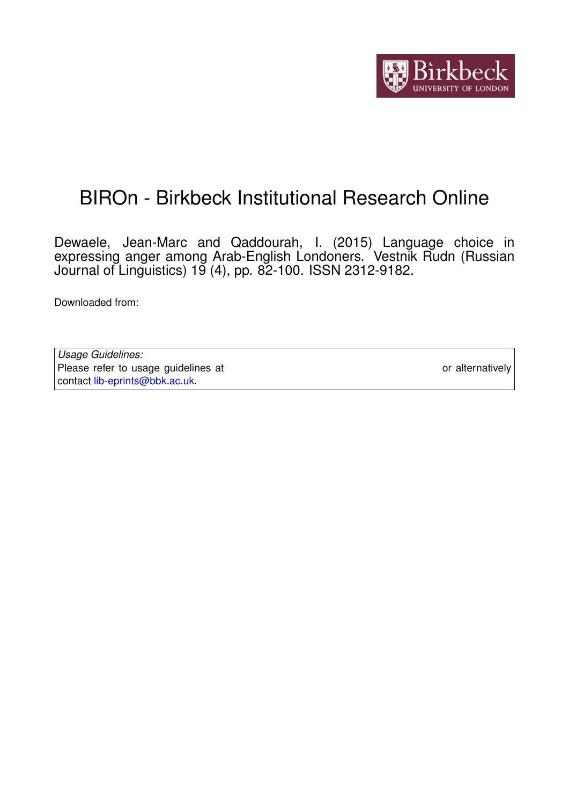

# BIROn - Birkbeck Institutional Research Online

Dewaele, Jean-Marc and Qaddourah, I. (2015) Language choice in expressing anger among Arab-English Londoners. Vestnik Rudn (Russian Journal of Linguistics) 19 (4), pp. 82-100. ISSN 2312-9182.

Downloaded from: <https://eprints.bbk.ac.uk/id/eprint/14685/>

*Usage Guidelines:* Please refer to usage guidelines at <https://eprints.bbk.ac.uk/policies.html> or alternatively contact [lib-eprints@bbk.ac.uk.](mailto:lib-eprints@bbk.ac.uk)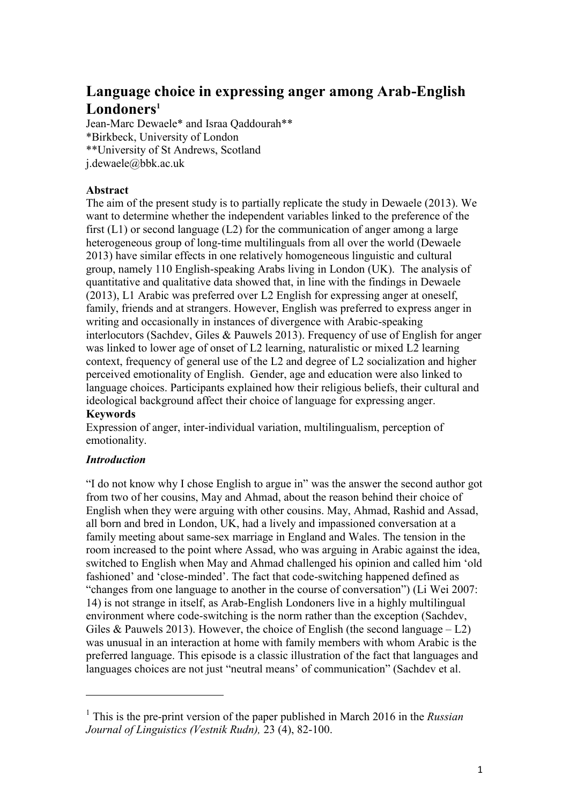# **Language choice in expressing anger among Arab-English Londoners<sup>1</sup>**

Jean-Marc Dewaele\* and Israa Qaddourah\*\* \*Birkbeck, University of London \*\*University of St Andrews, Scotland j.dewaele@bbk.ac.uk

# **Abstract**

The aim of the present study is to partially replicate the study in Dewaele (2013). We want to determine whether the independent variables linked to the preference of the first  $(L1)$  or second language  $(L2)$  for the communication of anger among a large heterogeneous group of long-time multilinguals from all over the world (Dewaele 2013) have similar effects in one relatively homogeneous linguistic and cultural group, namely 110 English-speaking Arabs living in London (UK). The analysis of quantitative and qualitative data showed that, in line with the findings in Dewaele (2013), L1 Arabic was preferred over L2 English for expressing anger at oneself, family, friends and at strangers. However, English was preferred to express anger in writing and occasionally in instances of divergence with Arabic-speaking interlocutors (Sachdev, Giles & Pauwels 2013). Frequency of use of English for anger was linked to lower age of onset of L2 learning, naturalistic or mixed L2 learning context, frequency of general use of the L2 and degree of L2 socialization and higher perceived emotionality of English. Gender, age and education were also linked to language choices. Participants explained how their religious beliefs, their cultural and ideological background affect their choice of language for expressing anger.

# **Keywords**

Expression of anger, inter-individual variation, multilingualism, perception of emotionality.

# *Introduction*

 $\overline{\phantom{a}}$ 

"I do not know why I chose English to argue in" was the answer the second author got from two of her cousins, May and Ahmad, about the reason behind their choice of English when they were arguing with other cousins. May, Ahmad, Rashid and Assad, all born and bred in London, UK, had a lively and impassioned conversation at a family meeting about same-sex marriage in England and Wales. The tension in the room increased to the point where Assad, who was arguing in Arabic against the idea, switched to English when May and Ahmad challenged his opinion and called him 'old fashioned' and 'close-minded'. The fact that code-switching happened defined as "changes from one language to another in the course of conversation") (Li Wei 2007: 14) is not strange in itself, as Arab-English Londoners live in a highly multilingual environment where code-switching is the norm rather than the exception (Sachdev, Giles & Pauwels 2013). However, the choice of English (the second language  $- L2$ ) was unusual in an interaction at home with family members with whom Arabic is the preferred language. This episode is a classic illustration of the fact that languages and languages choices are not just "neutral means' of communication" (Sachdev et al.

<sup>1</sup> This is the pre-print version of the paper published in March 2016 in the *Russian Journal of Linguistics (Vestnik Rudn),* 23 (4), 82-100.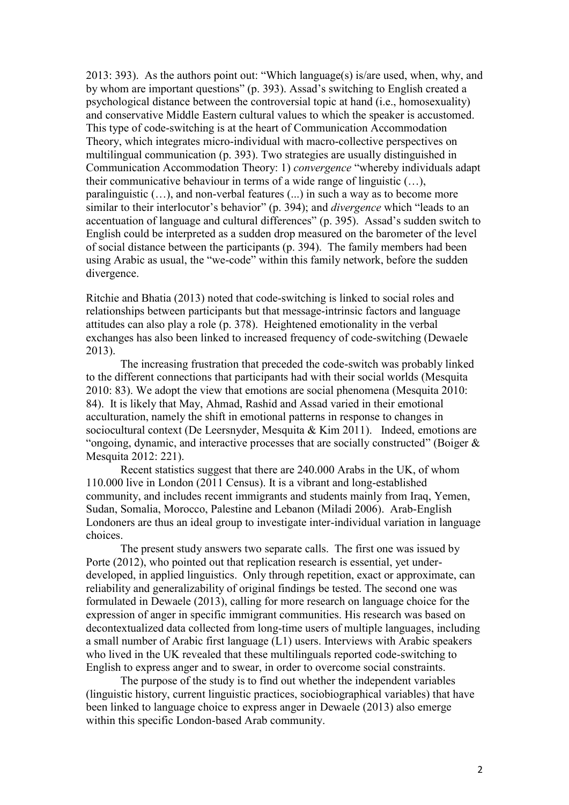2013: 393). As the authors point out: "Which language(s) is/are used, when, why, and by whom are important questions" (p. 393). Assad's switching to English created a psychological distance between the controversial topic at hand (i.e., homosexuality) and conservative Middle Eastern cultural values to which the speaker is accustomed. This type of code-switching is at the heart of Communication Accommodation Theory, which integrates micro-individual with macro-collective perspectives on multilingual communication (p. 393). Two strategies are usually distinguished in Communication Accommodation Theory: 1) *convergence* "whereby individuals adapt their communicative behaviour in terms of a wide range of linguistic (…), paralinguistic (…), and non-verbal features (...) in such a way as to become more similar to their interlocutor's behavior" (p. 394); and *divergence* which "leads to an accentuation of language and cultural differences" (p. 395). Assad's sudden switch to English could be interpreted as a sudden drop measured on the barometer of the level of social distance between the participants (p. 394). The family members had been using Arabic as usual, the "we-code" within this family network, before the sudden divergence.

Ritchie and Bhatia (2013) noted that code-switching is linked to social roles and relationships between participants but that message-intrinsic factors and language attitudes can also play a role (p. 378). Heightened emotionality in the verbal exchanges has also been linked to increased frequency of code-switching (Dewaele 2013).

The increasing frustration that preceded the code-switch was probably linked to the different connections that participants had with their social worlds (Mesquita 2010: 83). We adopt the view that emotions are social phenomena (Mesquita 2010: 84). It is likely that May, Ahmad, Rashid and Assad varied in their emotional acculturation, namely the shift in emotional patterns in response to changes in sociocultural context (De Leersnyder, Mesquita & Kim 2011). Indeed, emotions are "ongoing, dynamic, and interactive processes that are socially constructed" (Boiger & Mesquita 2012: 221).

Recent statistics suggest that there are 240,000 Arabs in the UK, of whom 110.000 live in London (2011 Census). It is a vibrant and long-established community, and includes recent immigrants and students mainly from Iraq, Yemen, Sudan, Somalia, Morocco, Palestine and Lebanon (Miladi 2006). Arab-English Londoners are thus an ideal group to investigate inter-individual variation in language choices.

The present study answers two separate calls. The first one was issued by Porte (2012), who pointed out that replication research is essential, yet underdeveloped, in applied linguistics. Only through repetition, exact or approximate, can reliability and generalizability of original findings be tested. The second one was formulated in Dewaele (2013), calling for more research on language choice for the expression of anger in specific immigrant communities. His research was based on decontextualized data collected from long-time users of multiple languages, including a small number of Arabic first language (L1) users. Interviews with Arabic speakers who lived in the UK revealed that these multilinguals reported code-switching to English to express anger and to swear, in order to overcome social constraints.

The purpose of the study is to find out whether the independent variables (linguistic history, current linguistic practices, sociobiographical variables) that have been linked to language choice to express anger in Dewaele (2013) also emerge within this specific London-based Arab community.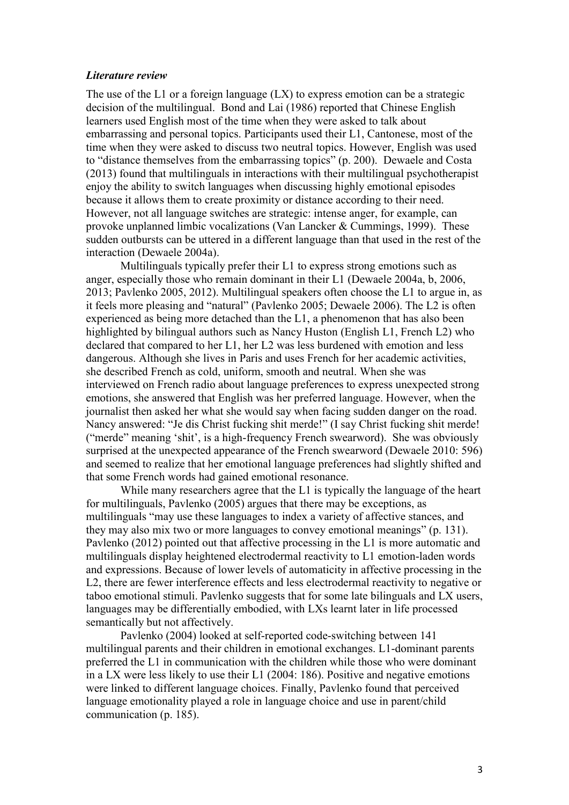#### *Literature review*

The use of the L1 or a foreign language  $(LX)$  to express emotion can be a strategic decision of the multilingual. Bond and Lai (1986) reported that Chinese English learners used English most of the time when they were asked to talk about embarrassing and personal topics. Participants used their L1, Cantonese, most of the time when they were asked to discuss two neutral topics. However, English was used to "distance themselves from the embarrassing topics" (p. 200). Dewaele and Costa (2013) found that multilinguals in interactions with their multilingual psychotherapist enjoy the ability to switch languages when discussing highly emotional episodes because it allows them to create proximity or distance according to their need. However, not all language switches are strategic: intense anger, for example, can provoke unplanned limbic vocalizations (Van Lancker & Cummings, 1999). These sudden outbursts can be uttered in a different language than that used in the rest of the interaction (Dewaele 2004a).

Multilinguals typically prefer their L1 to express strong emotions such as anger, especially those who remain dominant in their L1 (Dewaele 2004a, b, 2006, 2013; Pavlenko 2005, 2012). Multilingual speakers often choose the L1 to argue in, as it feels more pleasing and "natural" (Pavlenko 2005; Dewaele 2006). The L2 is often experienced as being more detached than the L1, a phenomenon that has also been highlighted by bilingual authors such as Nancy Huston (English L1, French L2) who declared that compared to her L1, her L2 was less burdened with emotion and less dangerous. Although she lives in Paris and uses French for her academic activities, she described French as cold, uniform, smooth and neutral. When she was interviewed on French radio about language preferences to express unexpected strong emotions, she answered that English was her preferred language. However, when the journalist then asked her what she would say when facing sudden danger on the road. Nancy answered: "Je dis Christ fucking shit merde!" (I say Christ fucking shit merde! ("merde" meaning 'shit', is a high-frequency French swearword). She was obviously surprised at the unexpected appearance of the French swearword (Dewaele 2010: 596) and seemed to realize that her emotional language preferences had slightly shifted and that some French words had gained emotional resonance.

While many researchers agree that the L1 is typically the language of the heart for multilinguals, Pavlenko (2005) argues that there may be exceptions, as multilinguals "may use these languages to index a variety of affective stances, and they may also mix two or more languages to convey emotional meanings" (p. 131). Pavlenko (2012) pointed out that affective processing in the L1 is more automatic and multilinguals display heightened electrodermal reactivity to L1 emotion-laden words and expressions. Because of lower levels of automaticity in affective processing in the L2, there are fewer interference effects and less electrodermal reactivity to negative or taboo emotional stimuli. Pavlenko suggests that for some late bilinguals and LX users, languages may be differentially embodied, with LXs learnt later in life processed semantically but not affectively.

Pavlenko (2004) looked at self-reported code-switching between 141 multilingual parents and their children in emotional exchanges. L1-dominant parents preferred the L1 in communication with the children while those who were dominant in a LX were less likely to use their L1 (2004: 186). Positive and negative emotions were linked to different language choices. Finally, Pavlenko found that perceived language emotionality played a role in language choice and use in parent/child communication (p. 185).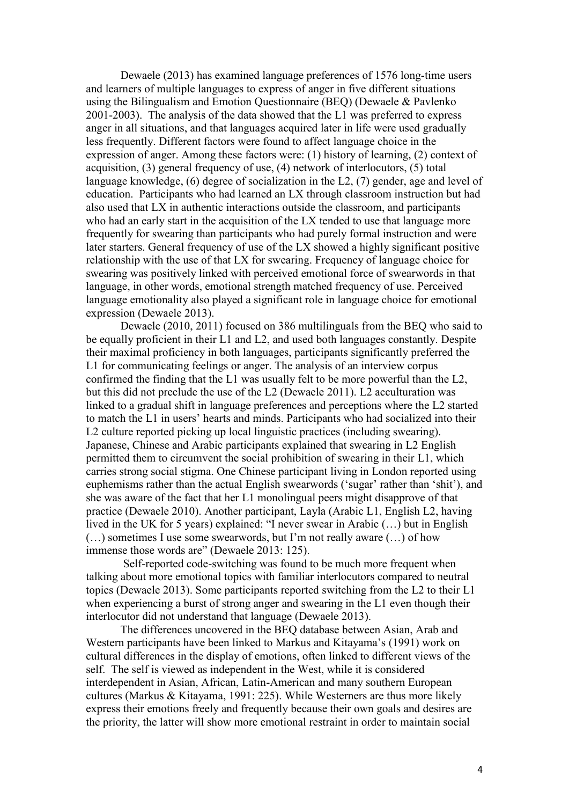Dewaele (2013) has examined language preferences of 1576 long-time users and learners of multiple languages to express of anger in five different situations using the Bilingualism and Emotion Questionnaire (BEQ) (Dewaele & Pavlenko 2001-2003). The analysis of the data showed that the L1 was preferred to express anger in all situations, and that languages acquired later in life were used gradually less frequently. Different factors were found to affect language choice in the expression of anger. Among these factors were: (1) history of learning, (2) context of acquisition, (3) general frequency of use, (4) network of interlocutors, (5) total language knowledge, (6) degree of socialization in the L2, (7) gender, age and level of education. Participants who had learned an LX through classroom instruction but had also used that LX in authentic interactions outside the classroom, and participants who had an early start in the acquisition of the LX tended to use that language more frequently for swearing than participants who had purely formal instruction and were later starters. General frequency of use of the LX showed a highly significant positive relationship with the use of that LX for swearing. Frequency of language choice for swearing was positively linked with perceived emotional force of swearwords in that language, in other words, emotional strength matched frequency of use. Perceived language emotionality also played a significant role in language choice for emotional expression (Dewaele 2013).

Dewaele (2010, 2011) focused on 386 multilinguals from the BEQ who said to be equally proficient in their L1 and L2, and used both languages constantly. Despite their maximal proficiency in both languages, participants significantly preferred the L1 for communicating feelings or anger. The analysis of an interview corpus confirmed the finding that the L1 was usually felt to be more powerful than the L2, but this did not preclude the use of the L2 (Dewaele 2011). L2 acculturation was linked to a gradual shift in language preferences and perceptions where the L2 started to match the L1 in users' hearts and minds. Participants who had socialized into their L2 culture reported picking up local linguistic practices (including swearing). Japanese, Chinese and Arabic participants explained that swearing in L2 English permitted them to circumvent the social prohibition of swearing in their L1, which carries strong social stigma. One Chinese participant living in London reported using euphemisms rather than the actual English swearwords ('sugar' rather than 'shit'), and she was aware of the fact that her L1 monolingual peers might disapprove of that practice (Dewaele 2010). Another participant, Layla (Arabic L1, English L2, having lived in the UK for 5 years) explained: "I never swear in Arabic (…) but in English (…) sometimes I use some swearwords, but I'm not really aware (…) of how immense those words are" (Dewaele 2013: 125).

Self-reported code-switching was found to be much more frequent when talking about more emotional topics with familiar interlocutors compared to neutral topics (Dewaele 2013). Some participants reported switching from the L2 to their L1 when experiencing a burst of strong anger and swearing in the L1 even though their interlocutor did not understand that language (Dewaele 2013).

The differences uncovered in the BEQ database between Asian, Arab and Western participants have been linked to Markus and Kitayama's (1991) work on cultural differences in the display of emotions, often linked to different views of the self. The self is viewed as independent in the West, while it is considered interdependent in Asian, African, Latin-American and many southern European cultures (Markus & Kitayama, 1991: 225). While Westerners are thus more likely express their emotions freely and frequently because their own goals and desires are the priority, the latter will show more emotional restraint in order to maintain social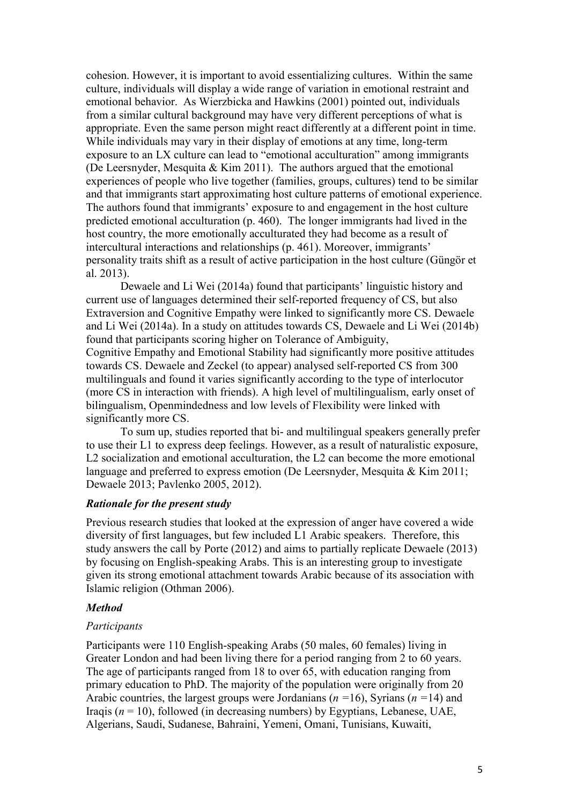cohesion. However, it is important to avoid essentializing cultures. Within the same culture, individuals will display a wide range of variation in emotional restraint and emotional behavior. As Wierzbicka and Hawkins (2001) pointed out, individuals from a similar cultural background may have very different perceptions of what is appropriate. Even the same person might react differently at a different point in time. While individuals may vary in their display of emotions at any time, long-term exposure to an LX culture can lead to "emotional acculturation" among immigrants (De Leersnyder, Mesquita  $& Kim 2011$ ). The authors argued that the emotional experiences of people who live together (families, groups, cultures) tend to be similar and that immigrants start approximating host culture patterns of emotional experience. The authors found that immigrants' exposure to and engagement in the host culture predicted emotional acculturation (p. 460). The longer immigrants had lived in the host country, the more emotionally acculturated they had become as a result of intercultural interactions and relationships (p. 461). Moreover, immigrants' personality traits shift as a result of active participation in the host culture (Güngör et al. 2013).

Dewaele and Li Wei (2014a) found that participants' linguistic history and current use of languages determined their self-reported frequency of CS, but also Extraversion and Cognitive Empathy were linked to significantly more CS. Dewaele and Li Wei (2014a). In a study on attitudes towards CS, Dewaele and Li Wei (2014b) found that participants scoring higher on Tolerance of Ambiguity,

Cognitive Empathy and Emotional Stability had significantly more positive attitudes towards CS. Dewaele and Zeckel (to appear) analysed self-reported CS from 300 multilinguals and found it varies significantly according to the type of interlocutor (more CS in interaction with friends). A high level of multilingualism, early onset of bilingualism, Openmindedness and low levels of Flexibility were linked with significantly more CS.

To sum up, studies reported that bi- and multilingual speakers generally prefer to use their L1 to express deep feelings. However, as a result of naturalistic exposure, L2 socialization and emotional acculturation, the L2 can become the more emotional language and preferred to express emotion (De Leersnyder, Mesquita & Kim 2011; Dewaele 2013; Pavlenko 2005, 2012).

#### *Rationale for the present study*

Previous research studies that looked at the expression of anger have covered a wide diversity of first languages, but few included L1 Arabic speakers. Therefore, this study answers the call by Porte (2012) and aims to partially replicate Dewaele (2013) by focusing on English-speaking Arabs. This is an interesting group to investigate given its strong emotional attachment towards Arabic because of its association with Islamic religion (Othman 2006).

#### *Method*

#### *Participants*

Participants were 110 English-speaking Arabs (50 males, 60 females) living in Greater London and had been living there for a period ranging from 2 to 60 years. The age of participants ranged from 18 to over 65, with education ranging from primary education to PhD. The majority of the population were originally from 20 Arabic countries, the largest groups were Jordanians (*n =*16), Syrians (*n =*14) and Iraqis ( $n = 10$ ), followed (in decreasing numbers) by Egyptians, Lebanese, UAE, Algerians, Saudi, Sudanese, Bahraini, Yemeni, Omani, Tunisians, Kuwaiti,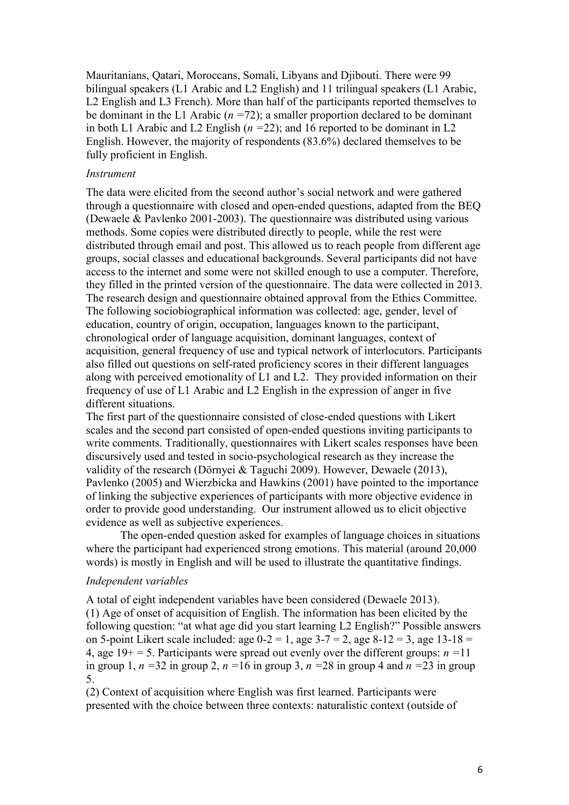Mauritanians, Qatari, Moroccans, Somali, Libyans and Djibouti. There were 99 bilingual speakers (L1 Arabic and L2 English) and 11 trilingual speakers (L1 Arabic, L2 English and L3 French). More than half of the participants reported themselves to be dominant in the L1 Arabic (*n =*72); a smaller proportion declared to be dominant in both L1 Arabic and L2 English (*n =*22); and 16 reported to be dominant in L2 English. However, the majority of respondents (83.6%) declared themselves to be fully proficient in English.

#### *Instrument*

The data were elicited from the second author's social network and were gathered through a questionnaire with closed and open-ended questions, adapted from the BEQ (Dewaele & Pavlenko 2001-2003). The questionnaire was distributed using various methods. Some copies were distributed directly to people, while the rest were distributed through email and post. This allowed us to reach people from different age groups, social classes and educational backgrounds. Several participants did not have access to the internet and some were not skilled enough to use a computer. Therefore, they filled in the printed version of the questionnaire. The data were collected in 2013. The research design and questionnaire obtained approval from the Ethics Committee. The following sociobiographical information was collected: age, gender, level of education, country of origin, occupation, languages known to the participant, chronological order of language acquisition, dominant languages, context of acquisition, general frequency of use and typical network of interlocutors. Participants also filled out questions on self-rated proficiency scores in their different languages along with perceived emotionality of L1 and L2. They provided information on their frequency of use of L1 Arabic and L2 English in the expression of anger in five different situations.

The first part of the questionnaire consisted of close-ended questions with Likert scales and the second part consisted of open-ended questions inviting participants to write comments. Traditionally, questionnaires with Likert scales responses have been discursively used and tested in socio-psychological research as they increase the validity of the research (Dörnyei & Taguchi 2009). However, Dewaele (2013), Pavlenko (2005) and Wierzbicka and Hawkins (2001) have pointed to the importance of linking the subjective experiences of participants with more objective evidence in order to provide good understanding. Our instrument allowed us to elicit objective evidence as well as subjective experiences.

The open-ended question asked for examples of language choices in situations where the participant had experienced strong emotions. This material (around 20,000 words) is mostly in English and will be used to illustrate the quantitative findings.

#### *Independent variables*

A total of eight independent variables have been considered (Dewaele 2013). (1) Age of onset of acquisition of English. The information has been elicited by the following question: "at what age did you start learning L2 English?" Possible answers on 5-point Likert scale included: age  $0-2 = 1$ , age  $3-7 = 2$ , age  $8-12 = 3$ , age  $13-18 = 12$ 4, age  $19+ = 5$ . Participants were spread out evenly over the different groups:  $n = 11$ in group 1,  $n = 32$  in group 2,  $n = 16$  in group 3,  $n = 28$  in group 4 and  $n = 23$  in group 5.

(2) Context of acquisition where English was first learned. Participants were presented with the choice between three contexts: naturalistic context (outside of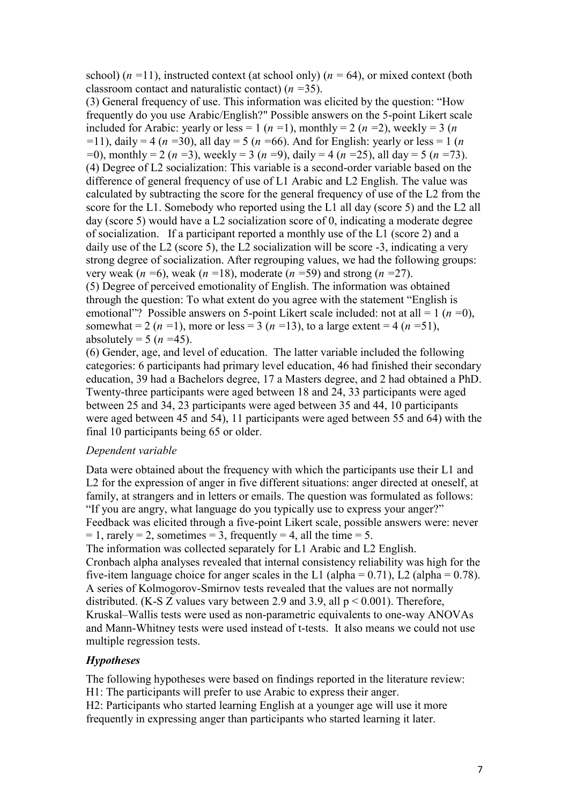school)  $(n = 11)$ , instructed context (at school only)  $(n = 64)$ , or mixed context (both classroom contact and naturalistic contact) (*n =*35).

(3) General frequency of use. This information was elicited by the question: "How frequently do you use Arabic/English?" Possible answers on the 5-point Likert scale included for Arabic: yearly or less = 1 ( $n = 1$ ), monthly = 2 ( $n = 2$ ), weekly = 3 ( $n = 3$ ) *=*11), daily = 4 (*n =*30), all day = 5 (*n =*66). And for English: yearly or less = 1 (*n =*0), monthly = 2 (*n =*3), weekly = 3 (*n =*9), daily = 4 (*n =*25), all day = 5 (*n =*73). (4) Degree of L2 socialization: This variable is a second-order variable based on the difference of general frequency of use of L1 Arabic and L2 English. The value was calculated by subtracting the score for the general frequency of use of the L2 from the score for the L1. Somebody who reported using the L1 all day (score 5) and the L2 all day (score 5) would have a L2 socialization score of 0, indicating a moderate degree of socialization. If a participant reported a monthly use of the L1 (score 2) and a daily use of the L2 (score 5), the L2 socialization will be score -3, indicating a very strong degree of socialization. After regrouping values, we had the following groups: very weak (*n =*6), weak (*n =*18), moderate (*n =*59) and strong (*n =*27). (5) Degree of perceived emotionality of English. The information was obtained through the question: To what extent do you agree with the statement "English is emotional"? Possible answers on 5-point Likert scale included: not at all = 1 (*n =*0), somewhat = 2 ( $n = 1$ ), more or less = 3 ( $n = 13$ ), to a large extent = 4 ( $n = 51$ ), absolutely =  $5 (n = 45)$ .

(6) Gender, age, and level of education. The latter variable included the following categories: 6 participants had primary level education, 46 had finished their secondary education, 39 had a Bachelors degree, 17 a Masters degree, and 2 had obtained a PhD. Twenty-three participants were aged between 18 and 24, 33 participants were aged between 25 and 34, 23 participants were aged between 35 and 44, 10 participants were aged between 45 and 54), 11 participants were aged between 55 and 64) with the final 10 participants being 65 or older.

# *Dependent variable*

Data were obtained about the frequency with which the participants use their L1 and L<sub>2</sub> for the expression of anger in five different situations: anger directed at oneself, at family, at strangers and in letters or emails. The question was formulated as follows: "If you are angry, what language do you typically use to express your anger?" Feedback was elicited through a five-point Likert scale, possible answers were: never  $= 1$ , rarely  $= 2$ , sometimes  $= 3$ , frequently  $= 4$ , all the time  $= 5$ . The information was collected separately for L1 Arabic and L2 English. Cronbach alpha analyses revealed that internal consistency reliability was high for the five-item language choice for anger scales in the L1 (alpha =  $0.71$ ), L2 (alpha =  $0.78$ ). A series of Kolmogorov-Smirnov tests revealed that the values are not normally distributed. (K-S Z values vary between 2.9 and 3.9, all  $p < 0.001$ ). Therefore, Kruskal–Wallis tests were used as non-parametric equivalents to one-way ANOVAs and Mann-Whitney tests were used instead of t-tests. It also means we could not use multiple regression tests.

# *Hypotheses*

The following hypotheses were based on findings reported in the literature review: H1: The participants will prefer to use Arabic to express their anger. H2: Participants who started learning English at a younger age will use it more

frequently in expressing anger than participants who started learning it later.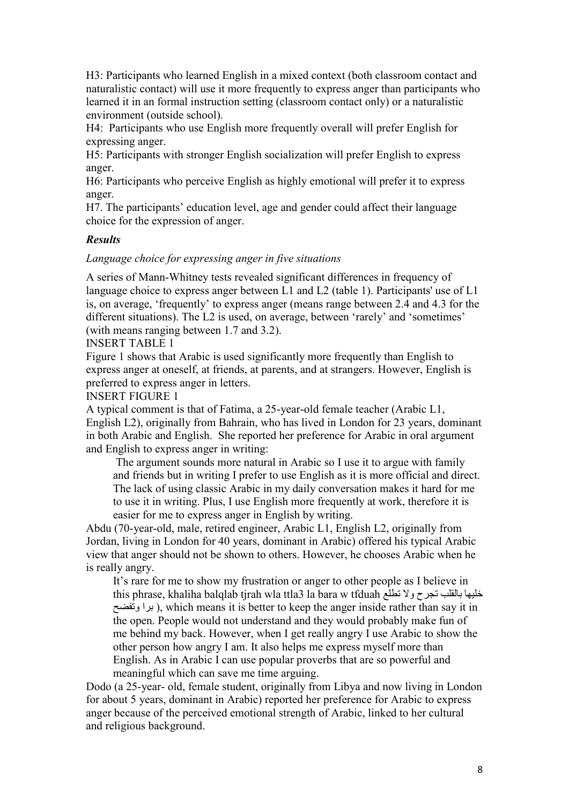H3: Participants who learned English in a mixed context (both classroom contact and naturalistic contact) will use it more frequently to express anger than participants who learned it in an formal instruction setting (classroom contact only) or a naturalistic environment (outside school).

H4: Participants who use English more frequently overall will prefer English for expressing anger.

H5: Participants with stronger English socialization will prefer English to express anger.

H6: Participants who perceive English as highly emotional will prefer it to express anger.

H7. The participants' education level, age and gender could affect their language choice for the expression of anger.

#### *Results*

*Language choice for expressing anger in five situations*

A series of Mann-Whitney tests revealed significant differences in frequency of language choice to express anger between L1 and L2 (table 1). Participants' use of L1 is, on average, 'frequently' to express anger (means range between 2.4 and 4.3 for the different situations). The L2 is used, on average, between 'rarely' and 'sometimes' (with means ranging between 1.7 and 3.2).

INSERT TABLE 1

Figure 1 shows that Arabic is used significantly more frequently than English to express anger at oneself, at friends, at parents, and at strangers. However, English is preferred to express anger in letters.

INSERT FIGURE 1

A typical comment is that of Fatima, a 25-year-old female teacher (Arabic L1, English L2), originally from Bahrain, who has lived in London for 23 years, dominant in both Arabic and English. She reported her preference for Arabic in oral argument and English to express anger in writing:

The argument sounds more natural in Arabic so I use it to argue with family and friends but in writing I prefer to use English as it is more official and direct. The lack of using classic Arabic in my daily conversation makes it hard for me to use it in writing. Plus, I use English more frequently at work, therefore it is easier for me to express anger in English by writing.

Abdu (70-year-old, male, retired engineer, Arabic L1, English L2, originally from Jordan, living in London for 40 years, dominant in Arabic) offered his typical Arabic view that anger should not be shown to others. However, he chooses Arabic when he is really angry.

It's rare for me to show my frustration or anger to other people as I believe in this phrase, khaliha balqlab tjrah wla ttla3 la bara w tfduah تطلع وال تجرح بالقلب خليها برا وتفضح), which means it is better to keep the anger inside rather than say it in the open. People would not understand and they would probably make fun of me behind my back. However, when I get really angry I use Arabic to show the other person how angry I am. It also helps me express myself more than English. As in Arabic I can use popular proverbs that are so powerful and

meaningful which can save me time arguing.

Dodo (a 25-year- old, female student, originally from Libya and now living in London for about 5 years, dominant in Arabic) reported her preference for Arabic to express anger because of the perceived emotional strength of Arabic, linked to her cultural and religious background.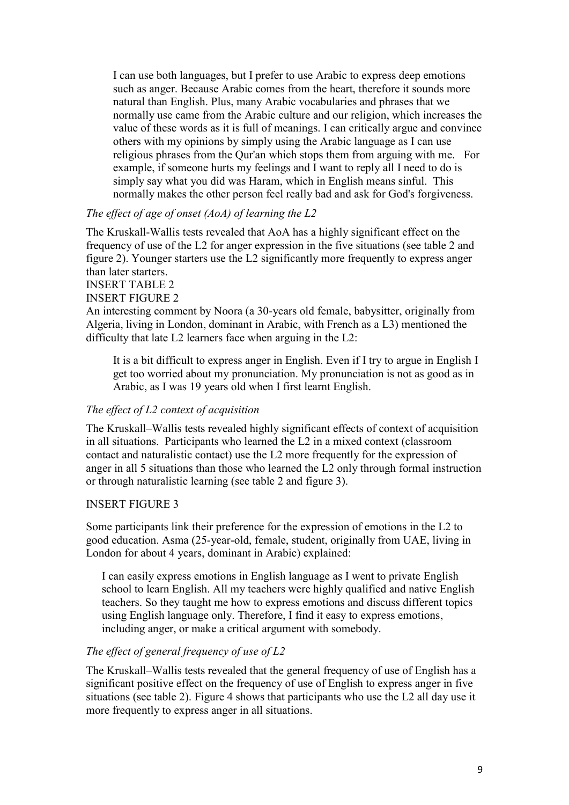I can use both languages, but I prefer to use Arabic to express deep emotions such as anger. Because Arabic comes from the heart, therefore it sounds more natural than English. Plus, many Arabic vocabularies and phrases that we normally use came from the Arabic culture and our religion, which increases the value of these words as it is full of meanings. I can critically argue and convince others with my opinions by simply using the Arabic language as I can use religious phrases from the Qur'an which stops them from arguing with me. For example, if someone hurts my feelings and I want to reply all I need to do is simply say what you did was Haram, which in English means sinful. This normally makes the other person feel really bad and ask for God's forgiveness.

# *The effect of age of onset (AoA) of learning the L2*

The Kruskall-Wallis tests revealed that AoA has a highly significant effect on the frequency of use of the L2 for anger expression in the five situations (see table 2 and figure 2). Younger starters use the L2 significantly more frequently to express anger than later starters.

### INSERT TABLE 2

#### INSERT FIGURE 2

An interesting comment by Noora (a 30-years old female, babysitter, originally from Algeria, living in London, dominant in Arabic, with French as a L3) mentioned the difficulty that late L2 learners face when arguing in the L2:

It is a bit difficult to express anger in English. Even if I try to argue in English I get too worried about my pronunciation. My pronunciation is not as good as in Arabic, as I was 19 years old when I first learnt English.

#### *The effect of L2 context of acquisition*

The Kruskall–Wallis tests revealed highly significant effects of context of acquisition in all situations. Participants who learned the L2 in a mixed context (classroom contact and naturalistic contact) use the L2 more frequently for the expression of anger in all 5 situations than those who learned the L2 only through formal instruction or through naturalistic learning (see table 2 and figure 3).

#### INSERT FIGURE 3

Some participants link their preference for the expression of emotions in the L2 to good education. Asma (25-year-old, female, student, originally from UAE, living in London for about 4 years, dominant in Arabic) explained:

I can easily express emotions in English language as I went to private English school to learn English. All my teachers were highly qualified and native English teachers. So they taught me how to express emotions and discuss different topics using English language only. Therefore, I find it easy to express emotions, including anger, or make a critical argument with somebody.

### *The effect of general frequency of use of L2*

The Kruskall–Wallis tests revealed that the general frequency of use of English has a significant positive effect on the frequency of use of English to express anger in five situations (see table 2). Figure 4 shows that participants who use the L2 all day use it more frequently to express anger in all situations.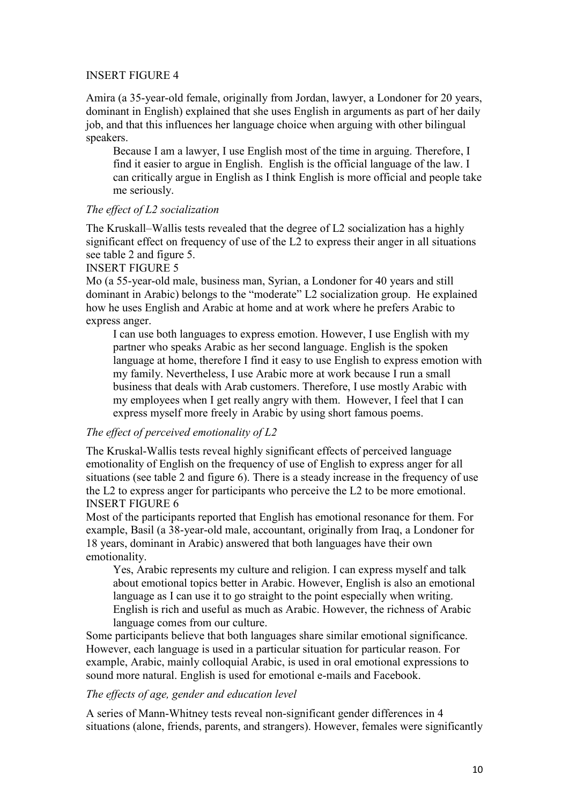### INSERT FIGURE 4

Amira (a 35-year-old female, originally from Jordan, lawyer, a Londoner for 20 years, dominant in English) explained that she uses English in arguments as part of her daily job, and that this influences her language choice when arguing with other bilingual speakers.

Because I am a lawyer, I use English most of the time in arguing. Therefore, I find it easier to argue in English. English is the official language of the law. I can critically argue in English as I think English is more official and people take me seriously.

# *The effect of L2 socialization*

The Kruskall–Wallis tests revealed that the degree of L2 socialization has a highly significant effect on frequency of use of the  $L<sub>2</sub>$  to express their anger in all situations see table 2 and figure 5.

# INSERT FIGURE 5

Mo (a 55-year-old male, business man, Syrian, a Londoner for 40 years and still dominant in Arabic) belongs to the "moderate" L2 socialization group. He explained how he uses English and Arabic at home and at work where he prefers Arabic to express anger.

I can use both languages to express emotion. However, I use English with my partner who speaks Arabic as her second language. English is the spoken language at home, therefore I find it easy to use English to express emotion with my family. Nevertheless, I use Arabic more at work because I run a small business that deals with Arab customers. Therefore, I use mostly Arabic with my employees when I get really angry with them. However, I feel that I can express myself more freely in Arabic by using short famous poems.

# *The effect of perceived emotionality of L2*

The Kruskal-Wallis tests reveal highly significant effects of perceived language emotionality of English on the frequency of use of English to express anger for all situations (see table 2 and figure 6). There is a steady increase in the frequency of use the L2 to express anger for participants who perceive the L2 to be more emotional. INSERT FIGURE 6

Most of the participants reported that English has emotional resonance for them. For example, Basil (a 38-year-old male, accountant, originally from Iraq, a Londoner for 18 years, dominant in Arabic) answered that both languages have their own emotionality.

Yes, Arabic represents my culture and religion. I can express myself and talk about emotional topics better in Arabic. However, English is also an emotional language as I can use it to go straight to the point especially when writing. English is rich and useful as much as Arabic. However, the richness of Arabic language comes from our culture.

Some participants believe that both languages share similar emotional significance. However, each language is used in a particular situation for particular reason. For example, Arabic, mainly colloquial Arabic, is used in oral emotional expressions to sound more natural. English is used for emotional e-mails and Facebook.

#### *The effects of age, gender and education level*

A series of Mann-Whitney tests reveal non-significant gender differences in 4 situations (alone, friends, parents, and strangers). However, females were significantly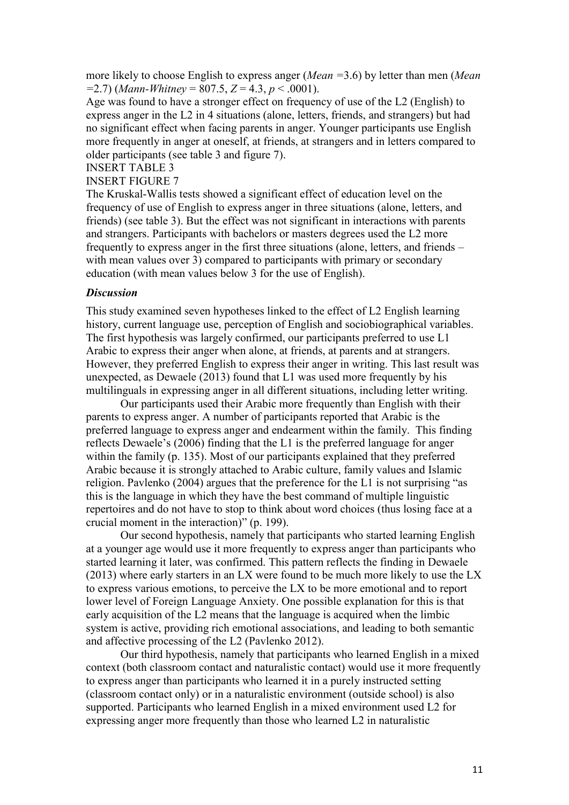more likely to choose English to express anger (*Mean =*3.6) by letter than men (*Mean =*2.7) (*Mann-Whitney* = 807.5, *Z* = 4.3, *p* < .0001).

Age was found to have a stronger effect on frequency of use of the L2 (English) to express anger in the L2 in 4 situations (alone, letters, friends, and strangers) but had no significant effect when facing parents in anger. Younger participants use English more frequently in anger at oneself, at friends, at strangers and in letters compared to older participants (see table 3 and figure 7).

INSERT TABLE 3

INSERT FIGURE 7

The Kruskal-Wallis tests showed a significant effect of education level on the frequency of use of English to express anger in three situations (alone, letters, and friends) (see table 3). But the effect was not significant in interactions with parents and strangers. Participants with bachelors or masters degrees used the L2 more frequently to express anger in the first three situations (alone, letters, and friends – with mean values over 3) compared to participants with primary or secondary education (with mean values below 3 for the use of English).

#### *Discussion*

This study examined seven hypotheses linked to the effect of L2 English learning history, current language use, perception of English and sociobiographical variables. The first hypothesis was largely confirmed, our participants preferred to use L1 Arabic to express their anger when alone, at friends, at parents and at strangers. However, they preferred English to express their anger in writing. This last result was unexpected, as Dewaele (2013) found that L1 was used more frequently by his multilinguals in expressing anger in all different situations, including letter writing.

Our participants used their Arabic more frequently than English with their parents to express anger. A number of participants reported that Arabic is the preferred language to express anger and endearment within the family. This finding reflects Dewaele's (2006) finding that the L1 is the preferred language for anger within the family (p. 135). Most of our participants explained that they preferred Arabic because it is strongly attached to Arabic culture, family values and Islamic religion. Pavlenko (2004) argues that the preference for the L1 is not surprising "as this is the language in which they have the best command of multiple linguistic repertoires and do not have to stop to think about word choices (thus losing face at a crucial moment in the interaction)" (p. 199).

Our second hypothesis, namely that participants who started learning English at a younger age would use it more frequently to express anger than participants who started learning it later, was confirmed. This pattern reflects the finding in Dewaele (2013) where early starters in an LX were found to be much more likely to use the LX to express various emotions, to perceive the LX to be more emotional and to report lower level of Foreign Language Anxiety. One possible explanation for this is that early acquisition of the L2 means that the language is acquired when the limbic system is active, providing rich emotional associations, and leading to both semantic and affective processing of the L2 (Pavlenko 2012).

Our third hypothesis, namely that participants who learned English in a mixed context (both classroom contact and naturalistic contact) would use it more frequently to express anger than participants who learned it in a purely instructed setting (classroom contact only) or in a naturalistic environment (outside school) is also supported. Participants who learned English in a mixed environment used L2 for expressing anger more frequently than those who learned L2 in naturalistic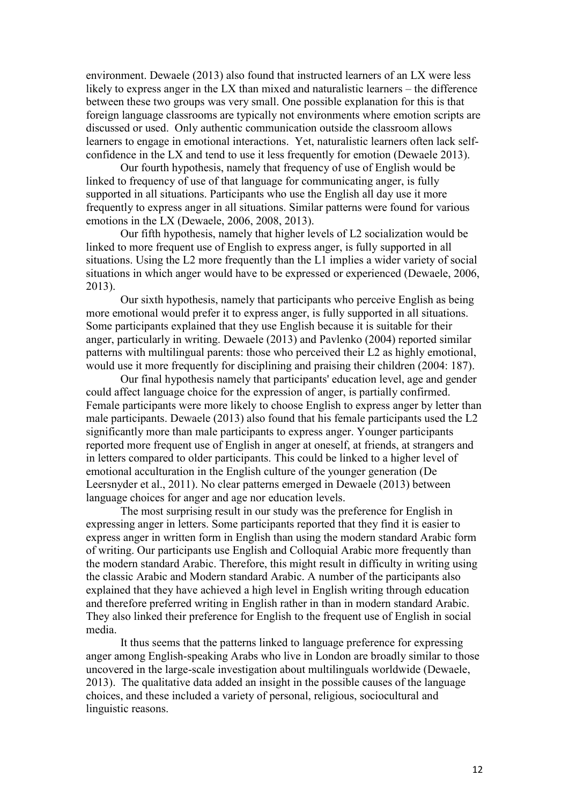environment. Dewaele (2013) also found that instructed learners of an LX were less likely to express anger in the LX than mixed and naturalistic learners – the difference between these two groups was very small. One possible explanation for this is that foreign language classrooms are typically not environments where emotion scripts are discussed or used. Only authentic communication outside the classroom allows learners to engage in emotional interactions. Yet, naturalistic learners often lack selfconfidence in the LX and tend to use it less frequently for emotion (Dewaele 2013).

Our fourth hypothesis, namely that frequency of use of English would be linked to frequency of use of that language for communicating anger, is fully supported in all situations. Participants who use the English all day use it more frequently to express anger in all situations. Similar patterns were found for various emotions in the LX (Dewaele, 2006, 2008, 2013).

Our fifth hypothesis, namely that higher levels of L2 socialization would be linked to more frequent use of English to express anger, is fully supported in all situations. Using the L2 more frequently than the L1 implies a wider variety of social situations in which anger would have to be expressed or experienced (Dewaele, 2006, 2013).

Our sixth hypothesis, namely that participants who perceive English as being more emotional would prefer it to express anger, is fully supported in all situations. Some participants explained that they use English because it is suitable for their anger, particularly in writing. Dewaele (2013) and Pavlenko (2004) reported similar patterns with multilingual parents: those who perceived their L2 as highly emotional, would use it more frequently for disciplining and praising their children (2004: 187).

Our final hypothesis namely that participants' education level, age and gender could affect language choice for the expression of anger, is partially confirmed. Female participants were more likely to choose English to express anger by letter than male participants. Dewaele (2013) also found that his female participants used the L2 significantly more than male participants to express anger. Younger participants reported more frequent use of English in anger at oneself, at friends, at strangers and in letters compared to older participants. This could be linked to a higher level of emotional acculturation in the English culture of the younger generation (De Leersnyder et al., 2011). No clear patterns emerged in Dewaele (2013) between language choices for anger and age nor education levels.

The most surprising result in our study was the preference for English in expressing anger in letters. Some participants reported that they find it is easier to express anger in written form in English than using the modern standard Arabic form of writing. Our participants use English and Colloquial Arabic more frequently than the modern standard Arabic. Therefore, this might result in difficulty in writing using the classic Arabic and Modern standard Arabic. A number of the participants also explained that they have achieved a high level in English writing through education and therefore preferred writing in English rather in than in modern standard Arabic. They also linked their preference for English to the frequent use of English in social media.

It thus seems that the patterns linked to language preference for expressing anger among English-speaking Arabs who live in London are broadly similar to those uncovered in the large-scale investigation about multilinguals worldwide (Dewaele, 2013). The qualitative data added an insight in the possible causes of the language choices, and these included a variety of personal, religious, sociocultural and linguistic reasons.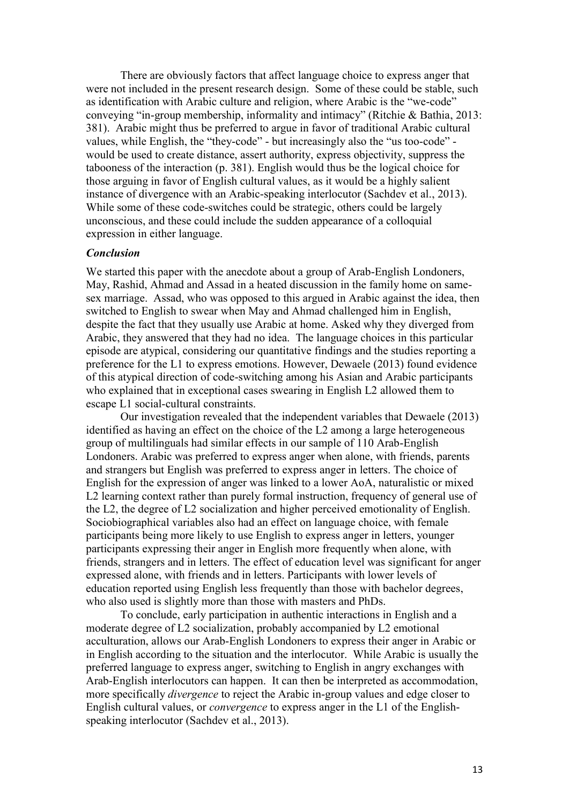There are obviously factors that affect language choice to express anger that were not included in the present research design. Some of these could be stable, such as identification with Arabic culture and religion, where Arabic is the "we-code" conveying "in-group membership, informality and intimacy" (Ritchie & Bathia, 2013: 381). Arabic might thus be preferred to argue in favor of traditional Arabic cultural values, while English, the "they-code" - but increasingly also the "us too-code" would be used to create distance, assert authority, express objectivity, suppress the tabooness of the interaction (p. 381). English would thus be the logical choice for those arguing in favor of English cultural values, as it would be a highly salient instance of divergence with an Arabic-speaking interlocutor (Sachdev et al., 2013). While some of these code-switches could be strategic, others could be largely unconscious, and these could include the sudden appearance of a colloquial expression in either language.

#### *Conclusion*

We started this paper with the anecdote about a group of Arab-English Londoners, May, Rashid, Ahmad and Assad in a heated discussion in the family home on samesex marriage. Assad, who was opposed to this argued in Arabic against the idea, then switched to English to swear when May and Ahmad challenged him in English, despite the fact that they usually use Arabic at home. Asked why they diverged from Arabic, they answered that they had no idea. The language choices in this particular episode are atypical, considering our quantitative findings and the studies reporting a preference for the L1 to express emotions. However, Dewaele (2013) found evidence of this atypical direction of code-switching among his Asian and Arabic participants who explained that in exceptional cases swearing in English L2 allowed them to escape L1 social-cultural constraints.

Our investigation revealed that the independent variables that Dewaele (2013) identified as having an effect on the choice of the L2 among a large heterogeneous group of multilinguals had similar effects in our sample of 110 Arab-English Londoners. Arabic was preferred to express anger when alone, with friends, parents and strangers but English was preferred to express anger in letters. The choice of English for the expression of anger was linked to a lower AoA, naturalistic or mixed L2 learning context rather than purely formal instruction, frequency of general use of the L2, the degree of L2 socialization and higher perceived emotionality of English. Sociobiographical variables also had an effect on language choice, with female participants being more likely to use English to express anger in letters, younger participants expressing their anger in English more frequently when alone, with friends, strangers and in letters. The effect of education level was significant for anger expressed alone, with friends and in letters. Participants with lower levels of education reported using English less frequently than those with bachelor degrees, who also used is slightly more than those with masters and PhDs.

To conclude, early participation in authentic interactions in English and a moderate degree of L2 socialization, probably accompanied by L2 emotional acculturation, allows our Arab-English Londoners to express their anger in Arabic or in English according to the situation and the interlocutor. While Arabic is usually the preferred language to express anger, switching to English in angry exchanges with Arab-English interlocutors can happen. It can then be interpreted as accommodation, more specifically *divergence* to reject the Arabic in-group values and edge closer to English cultural values, or *convergence* to express anger in the L1 of the Englishspeaking interlocutor (Sachdev et al., 2013).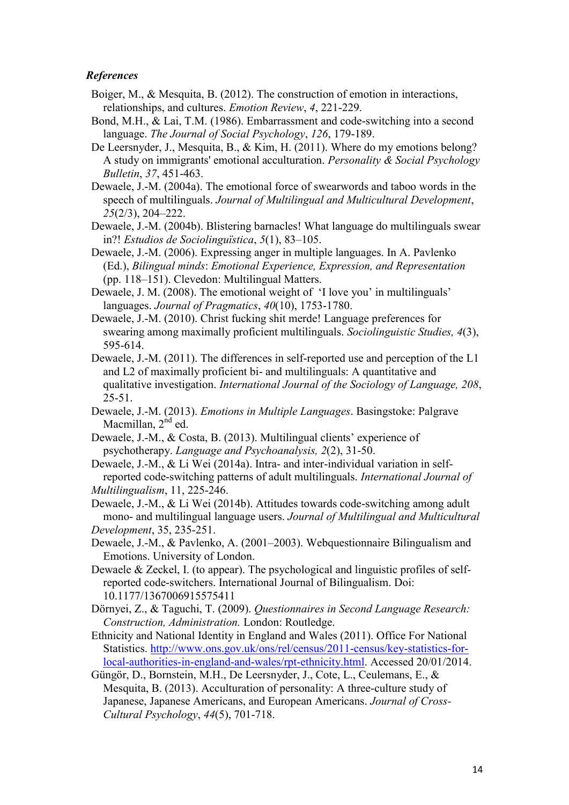# *References*

- Boiger, M., & Mesquita, B. (2012). The construction of emotion in interactions, relationships, and cultures. *Emotion Review*, *4*, 221-229.
- Bond, M.H., & Lai, T.M. (1986). Embarrassment and code-switching into a second language. *The Journal of Social Psychology*, *126*, 179-189.
- De Leersnyder, J., Mesquita, B., & Kim, H. (2011). Where do my emotions belong? A study on immigrants' emotional acculturation. *Personality & Social Psychology Bulletin*, *37*, 451-463.
- Dewaele, J.-M. (2004a). The emotional force of swearwords and taboo words in the speech of multilinguals. *Journal of Multilingual and Multicultural Development*, *25*(2/3), 204–222.
- Dewaele, J.-M. (2004b). Blistering barnacles! What language do multilinguals swear in?! *Estudios de Sociolinguïstica*, *5*(1), 83–105.
- Dewaele, J.-M. (2006). Expressing anger in multiple languages. In A. Pavlenko (Ed.), *Bilingual minds*: *Emotional Experience, Expression, and Representation*  (pp. 118–151). Clevedon: Multilingual Matters.
- Dewaele, J. M. (2008). The emotional weight of 'I love you' in multilinguals' languages. *Journal of Pragmatics*, *40*(10), 1753-1780.
- Dewaele, J.-M. (2010). Christ fucking shit merde! Language preferences for swearing among maximally proficient multilinguals. *Sociolinguistic Studies, 4*(3), 595-614.
- Dewaele, J.-M. (2011). The differences in self-reported use and perception of the L1 and L2 of maximally proficient bi- and multilinguals: A quantitative and qualitative investigation. *International Journal of the Sociology of Language, 208*, 25-51.
- Dewaele, J.-M. (2013). *Emotions in Multiple Languages*. Basingstoke: Palgrave Macmillan, 2<sup>nd</sup> ed.
- Dewaele, J.-M., & Costa, B. (2013). Multilingual clients' experience of psychotherapy. *Language and Psychoanalysis, 2*(2), 31-50.

Dewaele, J.-M., & Li Wei (2014a). Intra- and inter-individual variation in selfreported code-switching patterns of adult multilinguals. *International Journal of Multilingualism*, 11, 225-246.

Dewaele, J.-M., & Li Wei (2014b). Attitudes towards code-switching among adult mono- and multilingual language users. *Journal of Multilingual and Multicultural Development*, 35, 235-251.

- Dewaele, J.-M., & Pavlenko, A. (2001–2003). Webquestionnaire Bilingualism and Emotions. University of London.
- Dewaele & Zeckel, I. (to appear). The psychological and linguistic profiles of selfreported code-switchers. International Journal of Bilingualism. Doi: 10.1177/1367006915575411

Dörnyei, Z., & Taguchi, T. (2009). *Questionnaires in Second Language Research: Construction, Administration.* London: Routledge.

- Ethnicity and National Identity in England and Wales (2011). Office For National Statistics. [http://www.ons.gov.uk/ons/rel/census/2011-census/key-statistics-for](http://www.ons.gov.uk/ons/rel/census/2011-census/key-statistics-for-local-authorities-in-england-and-wales/rpt-ethnicity.html)[local-authorities-in-england-and-wales/rpt-ethnicity.html.](http://www.ons.gov.uk/ons/rel/census/2011-census/key-statistics-for-local-authorities-in-england-and-wales/rpt-ethnicity.html) Accessed 20/01/2014.
- Güngör, D., Bornstein, M.H., De Leersnyder, J., Cote, L., Ceulemans, E., & Mesquita, B. (2013). Acculturation of personality: A three-culture study of Japanese, Japanese Americans, and European Americans. *Journal of Cross-Cultural Psychology*, *44*(5), 701-718.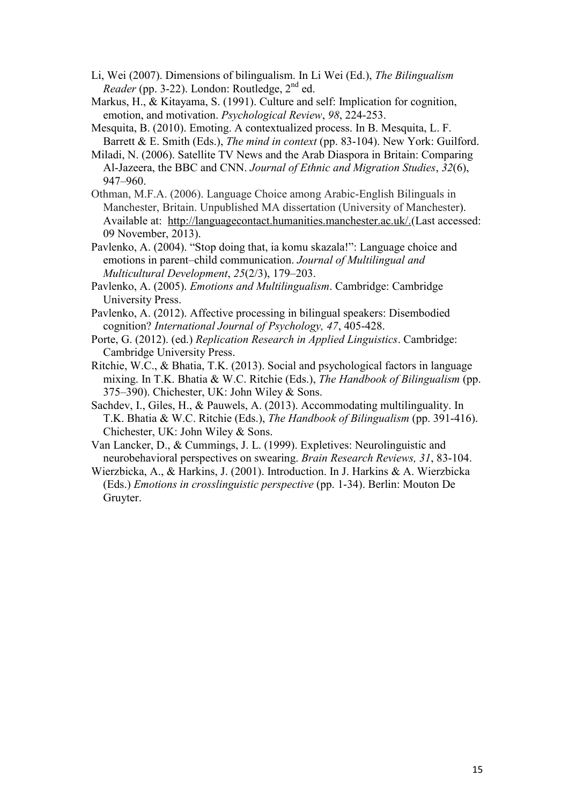- Li, Wei (2007). Dimensions of bilingualism. In Li Wei (Ed.), *The Bilingualism Reader* (pp. 3-22). London: Routledge, 2<sup>nd</sup> ed.
- Markus, H., & Kitayama, S. (1991). Culture and self: Implication for cognition, emotion, and motivation. *Psychological Review*, *98*, 224-253.
- Mesquita, B. (2010). Emoting. A contextualized process. In B. Mesquita, L. F. Barrett & E. Smith (Eds.), *The mind in context* (pp. 83-104). New York: Guilford.
- Miladi, N. (2006). Satellite TV News and the Arab Diaspora in Britain: Comparing Al-Jazeera, the BBC and CNN. *Journal of Ethnic and Migration Studies*, *32*(6), 947–960.
- Othman, M.F.A. (2006). Language Choice among Arabic-English Bilinguals in Manchester, Britain. Unpublished MA dissertation (University of Manchester). Available at: [http://languagecontact.humanities.manchester.ac.uk/.\(Last](http://languagecontact.humanities.manchester.ac.uk/.(Last) accessed: 09 November, 2013).
- Pavlenko, A. (2004). "Stop doing that, ia komu skazala!": Language choice and emotions in parent–child communication. *Journal of Multilingual and Multicultural Development*, *25*(2/3), 179–203.
- Pavlenko, A. (2005). *Emotions and Multilingualism*. Cambridge: Cambridge University Press.
- Pavlenko, A. (2012). Affective processing in bilingual speakers: Disembodied cognition? *International Journal of Psychology, 47*, 405-428.
- Porte, G. (2012). (ed.) *Replication Research in Applied Linguistics*. Cambridge: Cambridge University Press.
- Ritchie, W.C., & Bhatia, T.K. (2013). Social and psychological factors in language mixing. In T.K. Bhatia & W.C. Ritchie (Eds.), *The Handbook of Bilingualism* (pp. 375–390). Chichester, UK: John Wiley & Sons.
- Sachdev, I., Giles, H., & Pauwels, A. (2013). Accommodating multilinguality. In T.K. Bhatia & W.C. Ritchie (Eds.), *The Handbook of Bilingualism* (pp. 391-416). Chichester, UK: John Wiley & Sons.
- Van Lancker, D., & Cummings, J. L. (1999). Expletives: Neurolinguistic and neurobehavioral perspectives on swearing. *Brain Research Reviews, 31*, 83-104.
- Wierzbicka, A., & Harkins, J. (2001). Introduction. In J. Harkins & A. Wierzbicka (Eds.) *Emotions in crosslinguistic perspective* (pp. 1-34). Berlin: Mouton De Gruyter.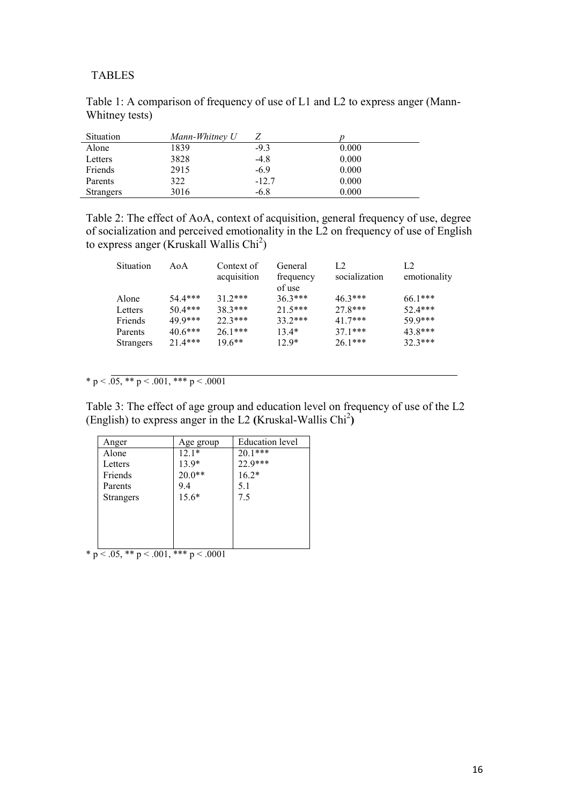#### TABLES

| Situation        | Mann-Whitney U |         |       |  |
|------------------|----------------|---------|-------|--|
| Alone            | 1839           | $-9.3$  | 0.000 |  |
| Letters          | 3828           | $-4.8$  | 0.000 |  |
| Friends          | 2915           | $-6.9$  | 0.000 |  |
| Parents          | 322            | $-12.7$ | 0.000 |  |
| <b>Strangers</b> | 3016           | -6.8    | 0.000 |  |

Table 1: A comparison of frequency of use of L1 and L2 to express anger (Mann-Whitney tests)

Table 2: The effect of AoA, context of acquisition, general frequency of use, degree of socialization and perceived emotionality in the L2 on frequency of use of English to express anger (Kruskall Wallis  $Chi<sup>2</sup>$ )

| Situation        | AoA       | Context of  | General   | L <sub>2</sub> | L <sub>2</sub> |
|------------------|-----------|-------------|-----------|----------------|----------------|
|                  |           | acquisition | frequency | socialization  | emotionality   |
|                  |           |             | of use    |                |                |
| Alone            | $54.4***$ | $31.2***$   | $36.3***$ | $46.3***$      | $661***$       |
| Letters          | $50.4***$ | $383***$    | $21.5***$ | $27.8***$      | $52.4***$      |
| Friends          | 49 9***   | $22.3***$   | $33.2***$ | $41.7***$      | 59.9***        |
| Parents          | $40.6***$ | $261***$    | $13.4*$   | $371***$       | $43.8***$      |
| <b>Strangers</b> | $21.4***$ | $196$ **    | $12.9*$   | $261***$       | $32.3***$      |
|                  |           |             |           |                |                |

\* p <  $.05,$  \*\* p <  $.001,$  \*\*\* p <  $.0001$ 

Table 3: The effect of age group and education level on frequency of use of the L2 (English) to express anger in the L2 **(**Kruskal-Wallis Chi<sup>2</sup> **)**

| Anger            | Age group | <b>Education</b> level |
|------------------|-----------|------------------------|
| Alone            | $12.1*$   | $20.1***$              |
| Letters          | 13.9*     | 22.9***                |
| Friends          | $20.0**$  | $16.2*$                |
| Parents          | 9.4       | 5.1                    |
| <b>Strangers</b> | $15.6*$   | 7.5                    |
|                  |           |                        |
|                  |           |                        |
|                  |           |                        |
|                  |           |                        |

\* p < .05, \*\* p < .001, \*\*\* p < .0001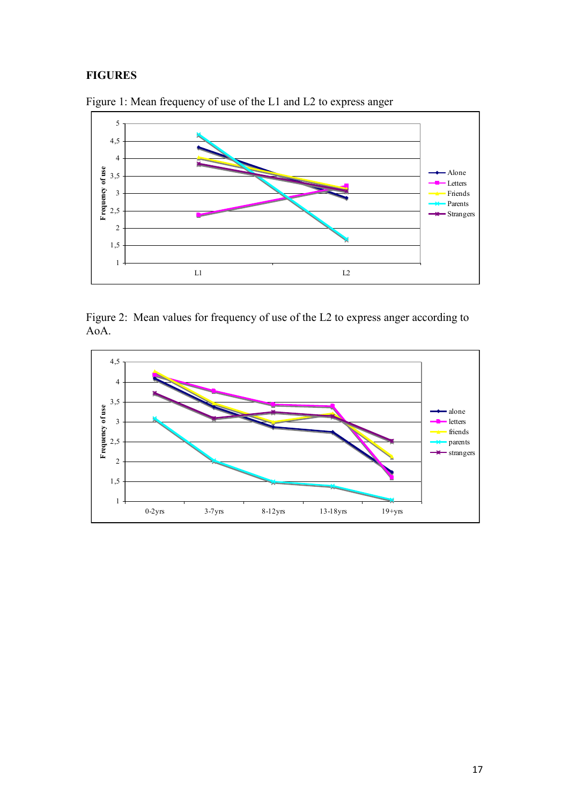# **FIGURES**



Figure 1: Mean frequency of use of the L1 and L2 to express anger

Figure 2: Mean values for frequency of use of the L2 to express anger according to AoA.

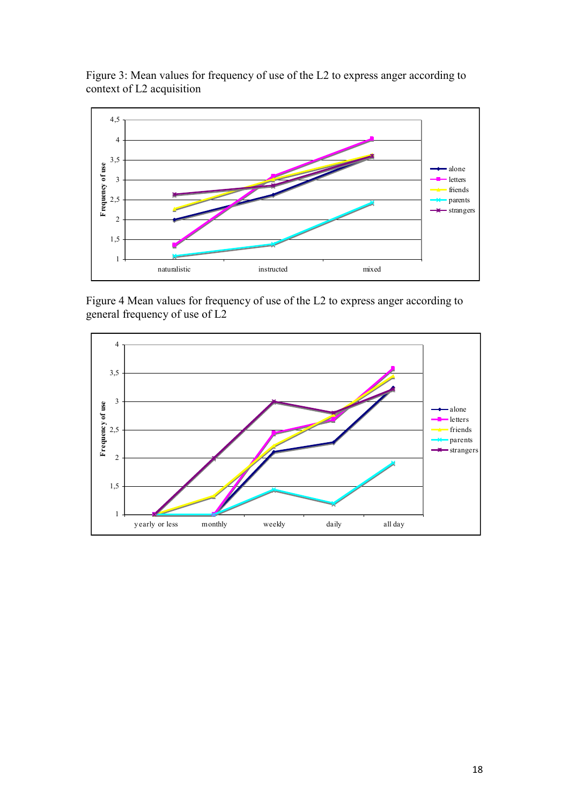



Figure 4 Mean values for frequency of use of the L2 to express anger according to general frequency of use of L2

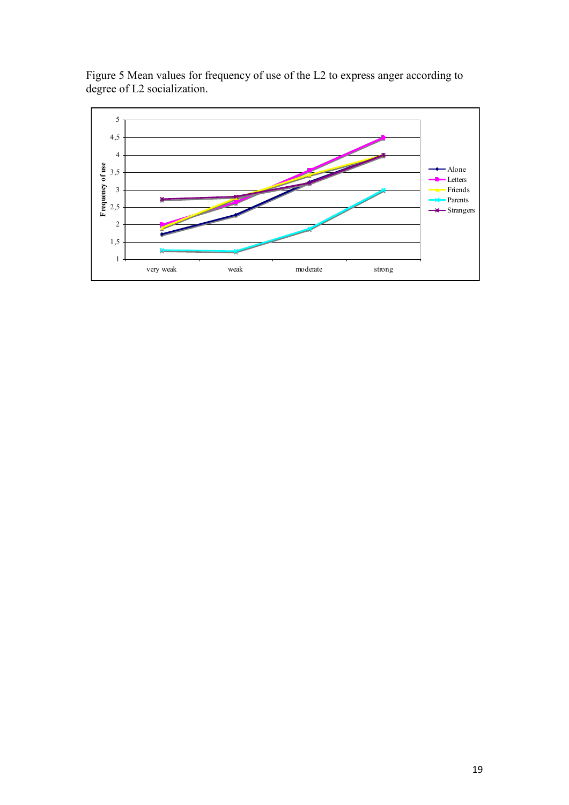

Figure 5 Mean values for frequency of use of the L2 to express anger according to degree of L2 socialization.